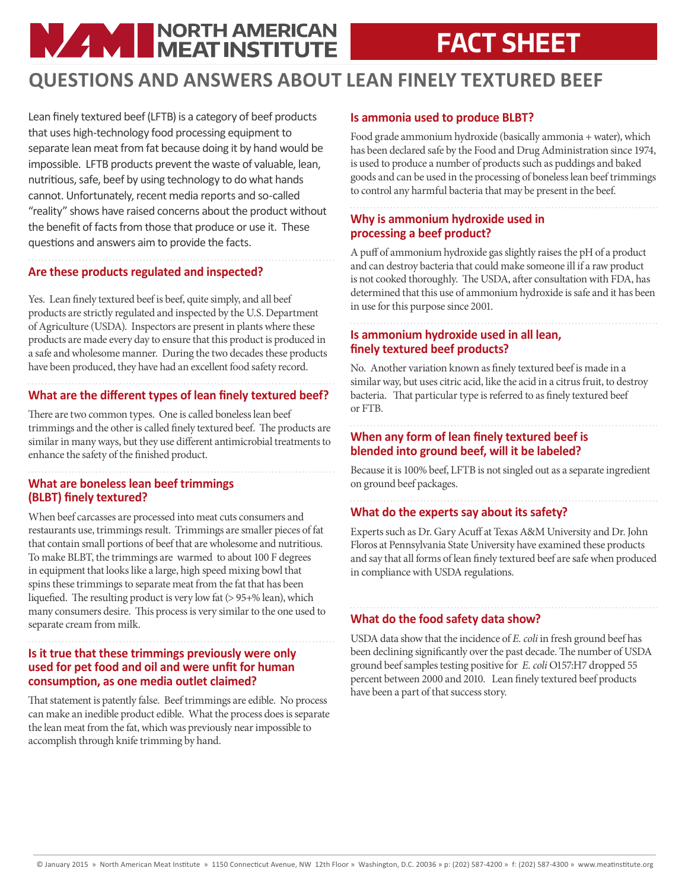# **NAME NORTH AMERICAN**

## **FACT SHEET**

### **QUESTIONS AND ANSWERS ABOUT LEAN FINELY TEXTURED BEEF**

Lean finely textured beef (LFTB) is a category of beef products that uses high-technology food processing equipment to separate lean meat from fat because doing it by hand would be impossible. LFTB products prevent the waste of valuable, lean, nutritious, safe, beef by using technology to do what hands cannot. Unfortunately, recent media reports and so-called "reality" shows have raised concerns about the product without the benefit of facts from those that produce or use it. These questions and answers aim to provide the facts.

#### **Are these products regulated and inspected?**

Yes. Lean finely textured beef is beef, quite simply, and all beef products are strictly regulated and inspected by the U.S. Department of Agriculture (USDA). Inspectors are present in plants where these products are made every day to ensure that this product is produced in a safe and wholesome manner. During the two decades these products have been produced, they have had an excellent food safety record.

#### **What are the different types of lean finely textured beef?**

There are two common types. One is called boneless lean beef trimmings and the other is called finely textured beef. The products are similar in many ways, but they use different antimicrobial treatments to enhance the safety of the finished product.

#### **What are boneless lean beef trimmings (BLBT) finely textured?**

When beef carcasses are processed into meat cuts consumers and restaurants use, trimmings result. Trimmings are smaller pieces of fat that contain small portions of beef that are wholesome and nutritious. To make BLBT, the trimmings are warmed to about 100 F degrees in equipment that looks like a large, high speed mixing bowl that spins these trimmings to separate meat from the fat that has been liquefied. The resulting product is very low fat (> 95+% lean), which many consumers desire. This process is very similar to the one used to separate cream from milk.

**Is it true that these trimmings previously were only used for pet food and oil and were unfit for human consumption, as one media outlet claimed?** 

That statement is patently false. Beef trimmings are edible. No process can make an inedible product edible. What the process does is separate the lean meat from the fat, which was previously near impossible to accomplish through knife trimming by hand.

#### **Is ammonia used to produce BLBT?**

Food grade ammonium hydroxide (basically ammonia + water), which has been declared safe by the Food and Drug Administration since 1974, is used to produce a number of products such as puddings and baked goods and can be used in the processing of boneless lean beef trimmings to control any harmful bacteria that may be present in the beef.

#### **Why is ammonium hydroxide used in processing a beef product?**

A puff of ammonium hydroxide gas slightly raises the pH of a product and can destroy bacteria that could make someone ill if a raw product is not cooked thoroughly. The USDA, after consultation with FDA, has determined that this use of ammonium hydroxide is safe and it has been in use for this purpose since 2001.

#### **Is ammonium hydroxide used in all lean, finely textured beef products?**

No. Another variation known as finely textured beef is made in a similar way, but uses citric acid, like the acid in a citrus fruit, to destroy bacteria. That particular type is referred to as finely textured beef or FTB.

#### **When any form of lean finely textured beef is blended into ground beef, will it be labeled?**

Because it is 100% beef, LFTB is not singled out as a separate ingredient on ground beef packages.

#### **What do the experts say about its safety?**

Experts such as Dr. Gary Acuff at Texas A&M University and Dr. John Floros at Pennsylvania State University have examined these products and say that all forms of lean finely textured beef are safe when produced in compliance with USDA regulations.

#### **What do the food safety data show?**

USDA data show that the incidence of *E. coli* in fresh ground beef has been declining significantly over the past decade. The number of USDA ground beef samples testing positive for *E. coli* O157:H7 dropped 55 percent between 2000 and 2010. Lean finely textured beef products have been a part of that success story.